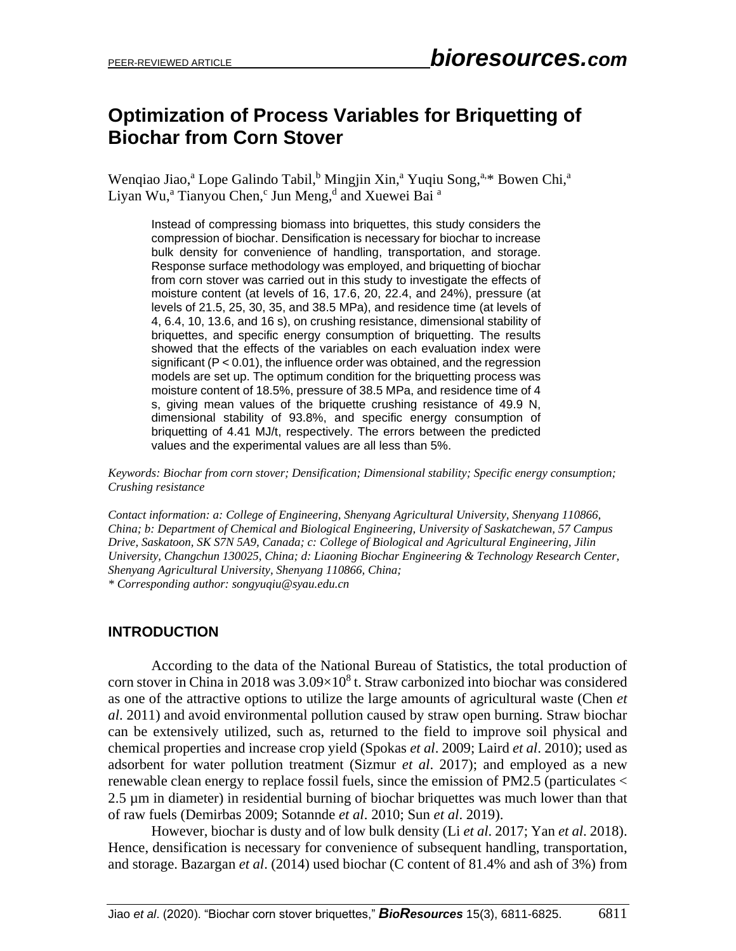# **Optimization of Process Variables for Briquetting of Biochar from Corn Stover**

Wengiao Jiao,<sup>a</sup> Lope Galindo Tabil,<sup>b</sup> Mingjin Xin,<sup>a</sup> Yugiu Song,<sup>a,\*</sup> Bowen Chi,<sup>a</sup> Liyan Wu,<sup>a</sup> Tianyou Chen,<sup>c</sup> Jun Meng,<sup>d</sup> and Xuewei Bai <sup>a</sup>

Instead of compressing biomass into briquettes, this study considers the compression of biochar. Densification is necessary for biochar to increase bulk density for convenience of handling, transportation, and storage. Response surface methodology was employed, and briquetting of biochar from corn stover was carried out in this study to investigate the effects of moisture content (at levels of 16, 17.6, 20, 22.4, and 24%), pressure (at levels of 21.5, 25, 30, 35, and 38.5 MPa), and residence time (at levels of 4, 6.4, 10, 13.6, and 16 s), on crushing resistance, dimensional stability of briquettes, and specific energy consumption of briquetting. The results showed that the effects of the variables on each evaluation index were significant (P < 0.01), the influence order was obtained, and the regression models are set up. The optimum condition for the briquetting process was moisture content of 18.5%, pressure of 38.5 MPa, and residence time of 4 s, giving mean values of the briquette crushing resistance of 49.9 N, dimensional stability of 93.8%, and specific energy consumption of briquetting of 4.41 MJ/t, respectively. The errors between the predicted values and the experimental values are all less than 5%.

*Keywords: Biochar from corn stover; Densification; Dimensional stability; Specific energy consumption; Crushing resistance*

*Contact information: a: College of Engineering, Shenyang Agricultural University, Shenyang 110866, China; b: Department of Chemical and Biological Engineering, University of Saskatchewan, 57 Campus Drive, Saskatoon, SK S7N 5A9, Canada; c: College of Biological and Agricultural Engineering, Jilin University, Changchun 130025, China; d: Liaoning Biochar Engineering & Technology Research Center, Shenyang Agricultural University, Shenyang 110866, China; \* Corresponding author: songyuqiu@syau.edu.cn*

## **INTRODUCTION**

According to the data of the National Bureau of Statistics, the total production of corn stover in China in 2018 was  $3.09\times10^8$  t. Straw carbonized into biochar was considered as one of the attractive options to utilize the large amounts of agricultural waste (Chen *et al*. 2011) and avoid environmental pollution caused by straw open burning. Straw biochar can be extensively utilized, such as, returned to the field to improve soil physical and chemical properties and increase crop yield (Spokas *et al*. 2009; Laird *et al*. 2010); used as adsorbent for water pollution treatment (Sizmur *et al*. 2017); and employed as a new renewable clean energy to replace fossil fuels, since the emission of PM2.5 (particulates < 2.5 µm in diameter) in residential burning of biochar briquettes was much lower than that of raw fuels (Demirbas 2009; Sotannde *et al*. 2010; Sun *et al*. 2019).

However, biochar is dusty and of low bulk density (Li *et al*. 2017; Yan *et al*. 2018). Hence, densification is necessary for convenience of subsequent handling, transportation, and storage. Bazargan *et al*. (2014) used biochar (C content of 81.4% and ash of 3%) from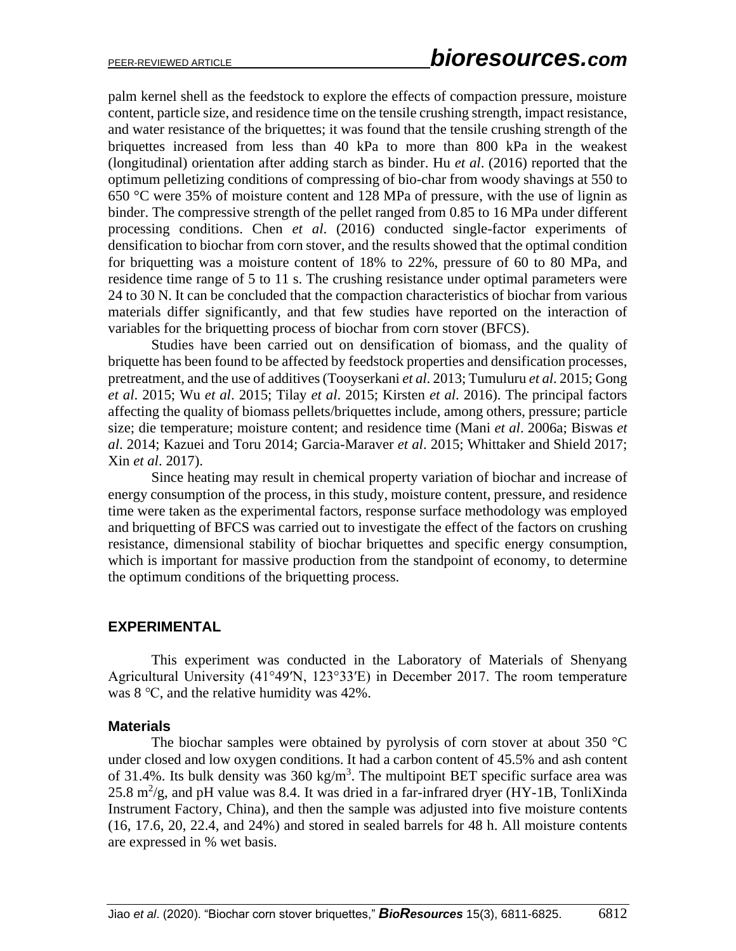palm kernel shell as the feedstock to explore the effects of compaction pressure, moisture content, particle size, and residence time on the tensile crushing strength, impact resistance, and water resistance of the briquettes; it was found that the tensile crushing strength of the briquettes increased from less than 40 kPa to more than 800 kPa in the weakest (longitudinal) orientation after adding starch as binder. Hu *et al*. (2016) reported that the optimum pelletizing conditions of compressing of bio-char from woody shavings at 550 to 650 °C were 35% of moisture content and 128 MPa of pressure, with the use of lignin as binder. The compressive strength of the pellet ranged from 0.85 to 16 MPa under different processing conditions. Chen *et al*. (2016) conducted single-factor experiments of densification to biochar from corn stover, and the results showed that the optimal condition for briquetting was a moisture content of 18% to 22%, pressure of 60 to 80 MPa, and residence time range of 5 to 11 s. The crushing resistance under optimal parameters were 24 to 30 N. It can be concluded that the compaction characteristics of biochar from various materials differ significantly, and that few studies have reported on the interaction of variables for the briquetting process of biochar from corn stover (BFCS).

Studies have been carried out on densification of biomass, and the quality of briquette has been found to be affected by feedstock properties and densification processes, pretreatment, and the use of additives (Tooyserkani *et al*. 2013; Tumuluru *et al*. 2015; Gong *et al*. 2015; Wu *et al*. 2015; Tilay *et al*. 2015; Kirsten *et al*. 2016). The principal factors affecting the quality of biomass pellets/briquettes include, among others, pressure; particle size; die temperature; moisture content; and residence time (Mani *et al*. 2006a; Biswas *et al*. 2014; Kazuei and Toru 2014; Garcia-Maraver *et al*. 2015; Whittaker and Shield 2017; Xin *et al*. 2017).

Since heating may result in chemical property variation of biochar and increase of energy consumption of the process, in this study, moisture content, pressure, and residence time were taken as the experimental factors, response surface methodology was employed and briquetting of BFCS was carried out to investigate the effect of the factors on crushing resistance, dimensional stability of biochar briquettes and specific energy consumption, which is important for massive production from the standpoint of economy, to determine the optimum conditions of the briquetting process.

## **EXPERIMENTAL**

This experiment was conducted in the Laboratory of Materials of Shenyang Agricultural University (41°49′N, 123°33′E) in December 2017. The room temperature was 8 ℃, and the relative humidity was 42%.

## **Materials**

The biochar samples were obtained by pyrolysis of corn stover at about 350 °C under closed and low oxygen conditions. It had a carbon content of 45.5% and ash content of 31.4%. Its bulk density was  $360 \text{ kg/m}^3$ . The multipoint BET specific surface area was 25.8  $m^2/g$ , and pH value was 8.4. It was dried in a far-infrared dryer (HY-1B, TonliXinda Instrument Factory, China), and then the sample was adjusted into five moisture contents (16, 17.6, 20, 22.4, and 24%) and stored in sealed barrels for 48 h. All moisture contents are expressed in % wet basis.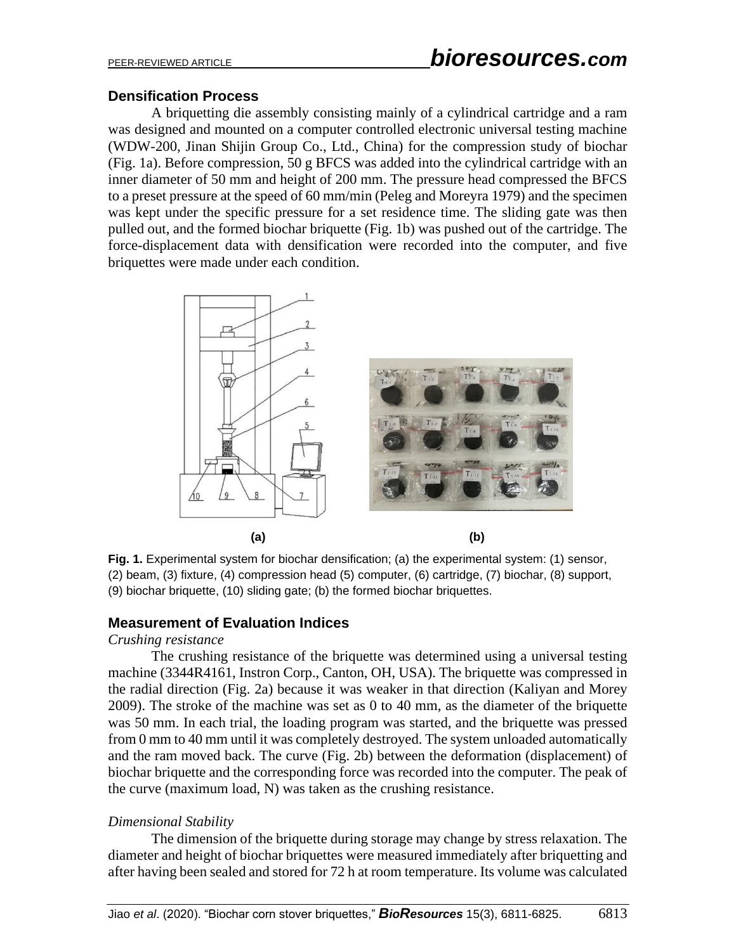## **Densification Process**

A briquetting die assembly consisting mainly of a cylindrical cartridge and a ram was designed and mounted on a computer controlled electronic universal testing machine (WDW-200, Jinan Shijin Group Co., Ltd., China) for the compression study of biochar (Fig. 1a). Before compression, 50 g BFCS was added into the cylindrical cartridge with an inner diameter of 50 mm and height of 200 mm. The pressure head compressed the BFCS to a preset pressure at the speed of 60 mm/min (Peleg and Moreyra 1979) and the specimen was kept under the specific pressure for a set residence time. The sliding gate was then pulled out, and the formed biochar briquette (Fig. 1b) was pushed out of the cartridge. The force-displacement data with densification were recorded into the computer, and five briquettes were made under each condition.



Fig. 1. Experimental system for biochar densification; (a) the experimental system: (1) sensor, (2) beam, (3) fixture, (4) compression head (5) computer, (6) cartridge, (7) biochar, (8) support, (9) biochar briquette, (10) sliding gate; (b) the formed biochar briquettes.

## **Measurement of Evaluation Indices**

## *Crushing resistance*

The crushing resistance of the briquette was determined using a universal testing machine (3344R4161, Instron Corp., Canton, OH, USA). The briquette was compressed in the radial direction (Fig. 2a) because it was weaker in that direction (Kaliyan and Morey 2009). The stroke of the machine was set as 0 to 40 mm, as the diameter of the briquette was 50 mm. In each trial, the loading program was started, and the briquette was pressed from 0 mm to 40 mm until it was completely destroyed. The system unloaded automatically and the ram moved back. The curve (Fig. 2b) between the deformation (displacement) of biochar briquette and the corresponding force was recorded into the computer. The peak of the curve (maximum load, N) was taken as the crushing resistance.

## *Dimensional Stability*

The dimension of the briquette during storage may change by stress relaxation. The diameter and height of biochar briquettes were measured immediately after briquetting and after having been sealed and stored for 72 h at room temperature. Its volume was calculated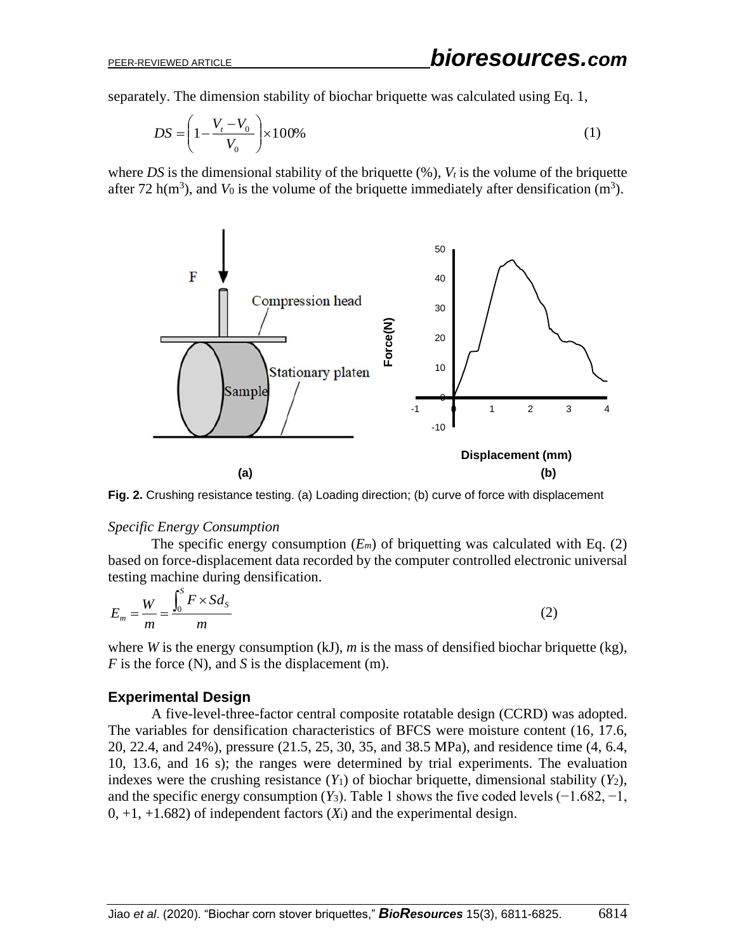separately. The dimension stability of biochar briquette was calculated using Eq. 1,

$$
DS = \left(1 - \frac{V_t - V_0}{V_0}\right) \times 100\%
$$
 (1)

where *DS* is the dimensional stability of the briquette  $(\%)$ ,  $V_t$  is the volume of the briquette after 72 h( $m<sup>3</sup>$ ), and  $V_0$  is the volume of the briquette immediately after densification ( $m<sup>3</sup>$ ).



**Fig. 2.** Crushing resistance testing. (a) Loading direction; (b) curve of force with displacement

#### *Specific Energy Consumption*

The specific energy consumption  $(E_m)$  of briquetting was calculated with Eq. (2) based on force-displacement data recorded by the computer controlled electronic universal testing machine during densification.

$$
E_m = \frac{W}{m} = \frac{\int_0^S F \times S d_S}{m}
$$
 (2)

where *W* is the energy consumption (kJ), *m* is the mass of densified biochar briquette (kg), *F* is the force (N), and *S* is the displacement (m).

## **Experimental Design**

A five-level-three-factor central composite rotatable design (CCRD) was adopted. The variables for densification characteristics of BFCS were moisture content (16, 17.6, 20, 22.4, and 24%), pressure (21.5, 25, 30, 35, and 38.5 MPa), and residence time (4, 6.4, 10, 13.6, and 16 s); the ranges were determined by trial experiments. The evaluation indexes were the crushing resistance  $(Y_1)$  of biochar briquette, dimensional stability  $(Y_2)$ , and the specific energy consumption  $(Y_3)$ . Table 1 shows the five coded levels  $(-1.682, -1,$  $0, +1, +1.682$ ) of independent factors  $(X<sub>i</sub>)$  and the experimental design.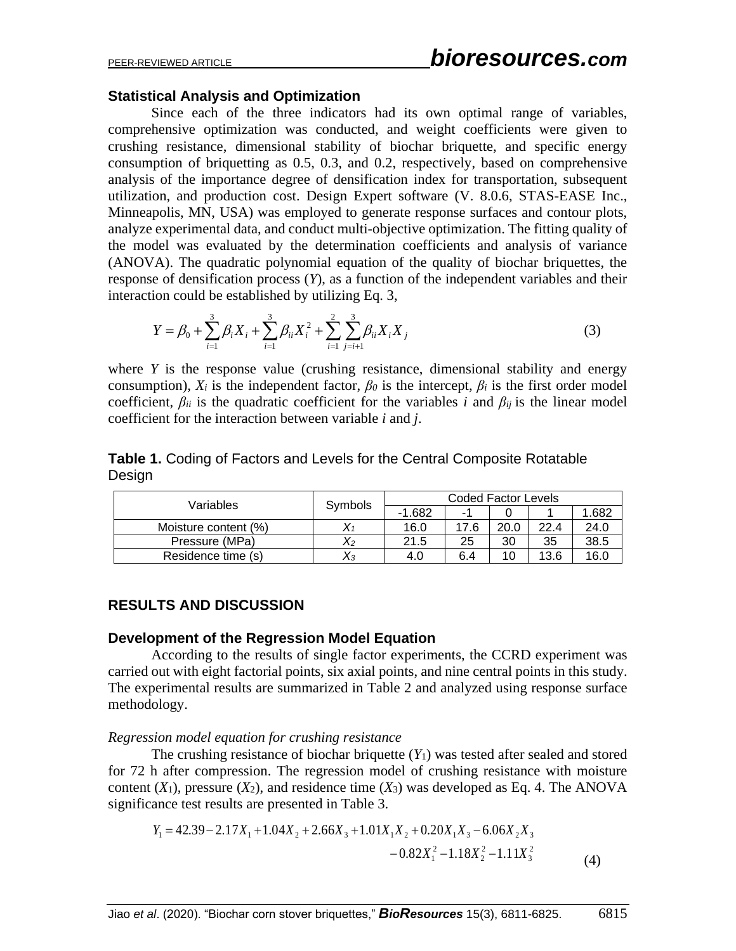## **Statistical Analysis and Optimization**

Since each of the three indicators had its own optimal range of variables, comprehensive optimization was conducted, and weight coefficients were given to crushing resistance, dimensional stability of biochar briquette, and specific energy consumption of briquetting as 0.5, 0.3, and 0.2, respectively, based on comprehensive analysis of the importance degree of densification index for transportation, subsequent utilization, and production cost. Design Expert software (V. 8.0.6, STAS-EASE Inc., Minneapolis, MN, USA) was employed to generate response surfaces and contour plots, analyze experimental data, and conduct multi-objective optimization. The fitting quality of the model was evaluated by the determination coefficients and analysis of variance (ANOVA). The quadratic polynomial equation of the quality of biochar briquettes, the response of densification process (*Y*), as a function of the independent variables and their interaction could be established by utilizing Eq. 3,

$$
Y = \beta_0 + \sum_{i=1}^{3} \beta_i X_i + \sum_{i=1}^{3} \beta_{ii} X_i^2 + \sum_{i=1}^{2} \sum_{j=i+1}^{3} \beta_{ii} X_i X_j
$$
 (3)

where *Y* is the response value (crushing resistance, dimensional stability and energy consumption),  $X_i$  is the independent factor,  $\beta_0$  is the intercept,  $\beta_i$  is the first order model coefficient,  $\beta_{ii}$  is the quadratic coefficient for the variables *i* and  $\beta_{ii}$  is the linear model coefficient for the interaction between variable *i* and *j*.

## **Table 1.** Coding of Factors and Levels for the Central Composite Rotatable Design

| Variables            |          | Coded Factor Levels |      |      |      |      |  |  |
|----------------------|----------|---------------------|------|------|------|------|--|--|
|                      | Symbols  | $-1.682$            | - 11 |      |      | .682 |  |  |
| Moisture content (%) |          | 16.0                | 17.6 | 20.0 | 22.4 | 24.0 |  |  |
| Pressure (MPa)       | $X_2$    | 21.5                | 25   | 30   | 35   | 38.5 |  |  |
| Residence time (s)   | $\chi_3$ | 4.0                 | 6.4  | 10   | 13.6 | 16.0 |  |  |

## **RESULTS AND DISCUSSION**

## **Development of the Regression Model Equation**

According to the results of single factor experiments, the CCRD experiment was carried out with eight factorial points, six axial points, and nine central points in this study. The experimental results are summarized in Table 2 and analyzed using response surface methodology.

## *Regression model equation for crushing resistance*

The crushing resistance of biochar briquette (*Y*1) was tested after sealed and stored for 72 h after compression. The regression model of crushing resistance with moisture content  $(X_1)$ , pressure  $(X_2)$ , and residence time  $(X_3)$  was developed as Eq. 4. The ANOVA significance test results are presented in Table 3.

$$
Y_1 = 42.39 - 2.17X_1 + 1.04X_2 + 2.66X_3 + 1.01X_1X_2 + 0.20X_1X_3 - 6.06X_2X_3 -0.82X_1^2 -1.18X_2^2 -1.11X_3^2
$$
\n(4)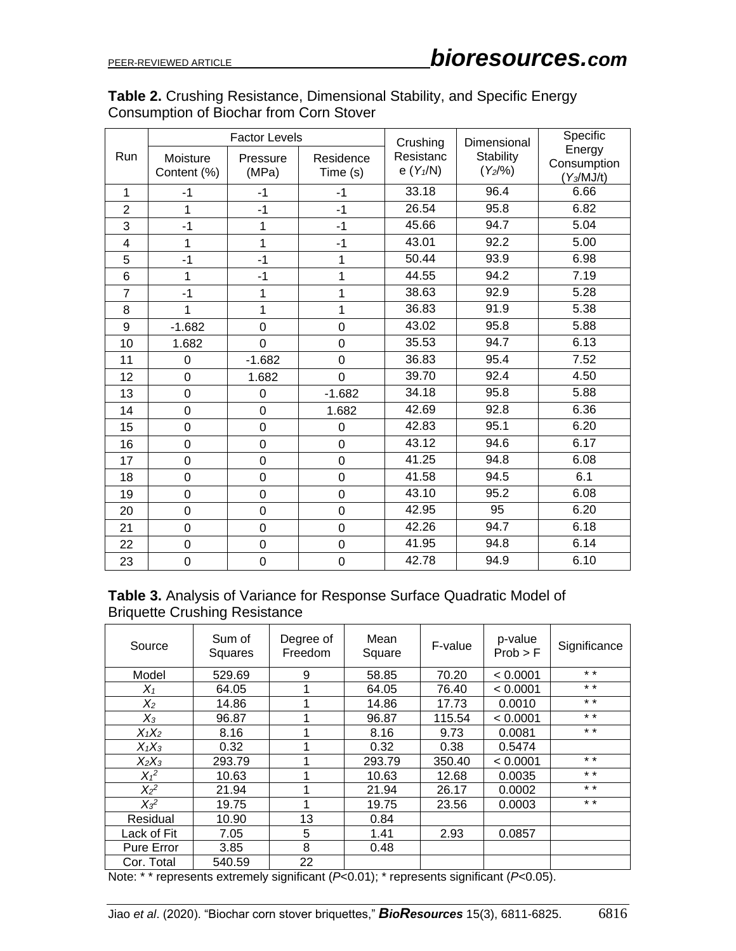## **Table 2.** Crushing Resistance, Dimensional Stability, and Specific Energy Consumption of Biochar from Corn Stover

|                |                | <b>Factor Levels</b> |                | Crushing   | Dimensional      | Specific              |  |
|----------------|----------------|----------------------|----------------|------------|------------------|-----------------------|--|
| Run            | Moisture       | Pressure             | Residence      | Resistanc  | <b>Stability</b> | Energy<br>Consumption |  |
|                | Content (%)    | (MPa)                | Time (s)       | e $(Y1/N)$ | $(Y_2/96)$       | $(Y_3/MJ/t)$          |  |
| 1              | $-1$           | $-1$                 | -1             | 33.18      | 96.4             | 6.66                  |  |
| $\overline{2}$ | $\mathbf{1}$   | $-1$                 | $-1$           | 26.54      | 95.8             | 6.82                  |  |
| 3              | $-1$           | 1                    | $-1$           | 45.66      | 94.7             | 5.04                  |  |
| 4              | 1              | 1                    | $-1$           | 43.01      | 92.2             | 5.00                  |  |
| 5              | $-1$           | $-1$                 | 1              | 50.44      | 93.9             | 6.98                  |  |
| 6              | 1              | $-1$                 | 1              | 44.55      | 94.2             | 7.19                  |  |
| $\overline{7}$ | $-1$           | 1                    | 1              | 38.63      | 92.9             | 5.28                  |  |
| 8              | 1              | 1                    | 1              | 36.83      | 91.9             | 5.38                  |  |
| 9              | $-1.682$       | $\mathbf 0$          | 0              | 43.02      | 95.8             | 5.88                  |  |
| 10             | 1.682          | $\mathbf 0$          | 0              | 35.53      | 94.7             | 6.13                  |  |
| 11             | $\mathbf 0$    | $-1.682$             | 0              | 36.83      | 95.4             | 7.52                  |  |
| 12             | $\mathbf 0$    | 1.682                | $\overline{0}$ | 39.70      | 92.4             | 4.50                  |  |
| 13             | $\overline{0}$ | 0                    | $-1.682$       | 34.18      | 95.8             | 5.88                  |  |
| 14             | $\mathbf 0$    | $\mathbf 0$          | 1.682          | 42.69      | 92.8             | 6.36                  |  |
| 15             | 0              | $\overline{0}$       | 0              | 42.83      | 95.1             | 6.20                  |  |
| 16             | 0              | $\mathbf 0$          | 0              | 43.12      | 94.6             | 6.17                  |  |
| 17             | 0              | $\mathbf 0$          | 0              | 41.25      | 94.8             | 6.08                  |  |
| 18             | 0              | $\mathbf 0$          | 0              | 41.58      | 94.5             | 6.1                   |  |
| 19             | $\mathbf 0$    | $\mathbf 0$          | 0              | 43.10      | 95.2             | 6.08                  |  |
| 20             | 0              | $\mathbf 0$          | 0              | 42.95      | 95               | 6.20                  |  |
| 21             | $\mathbf 0$    | $\overline{0}$       | $\overline{0}$ | 42.26      | 94.7             | 6.18                  |  |
| 22             | $\mathbf 0$    | $\mathbf 0$          | 0              | 41.95      | 94.8             | 6.14                  |  |
| 23             | 0              | $\mathbf 0$          | 0              | 42.78      | 94.9             | 6.10                  |  |

# **Table 3.** Analysis of Variance for Response Surface Quadratic Model of Briquette Crushing Resistance

| Source      | Sum of<br>Squares | Degree of<br>Freedom | Mean<br>Square | F-value  | p-value<br>Prob > F                        | Significance |
|-------------|-------------------|----------------------|----------------|----------|--------------------------------------------|--------------|
| Model       | 529.69            | 9                    | 58.85          | 70.20    | < 0.0001                                   | $* *$        |
| $X_1$       | 64.05             | 1                    | 64.05          | 76.40    | < 0.0001                                   | $* *$        |
| $X_2$       | 14.86             | 1                    | 14.86          | 17.73    | 0.0010                                     | $* *$        |
| $X_3$       | 96.87             | 1                    | 96.87          | 115.54   | < 0.0001                                   | $* *$        |
| $X_1X_2$    | 8.16              |                      | 8.16           | 9.73     | 0.0081                                     | $* *$        |
| $X_1X_3$    | 0.32              | 1                    | 0.32           | 0.38     | 0.5474                                     |              |
| $X_2X_3$    | 293.79            | 1                    | 293.79         | 350.40   | < 0.0001                                   | $* *$        |
| $X_1^2$     | 10.63             | 1                    | 10.63          | 12.68    | 0.0035                                     | $* *$        |
| $X_2^2$     | 21.94             | 1                    | 21.94          | 26.17    | 0.0002                                     | $* *$        |
| $X_3^2$     | 19.75             | 1                    | 19.75          | 23.56    | 0.0003                                     | $* *$        |
| Residual    | 10.90             | 13                   | 0.84           |          |                                            |              |
| Lack of Fit | 7.05              | 5                    | 1.41           | 2.93     | 0.0857                                     |              |
| Pure Error  | 3.85              | 8                    | 0.48           |          |                                            |              |
| Cor. Total  | 540.59            | 22                   | $\mathbf{1}$   | $\cdots$ | $\cdot$ $\sim$ $\sim$ $\sim$ $\sim$ $\sim$ |              |

Note: \* \* represents extremely significant (*P*<0.01); \* represents significant (*P*<0.05).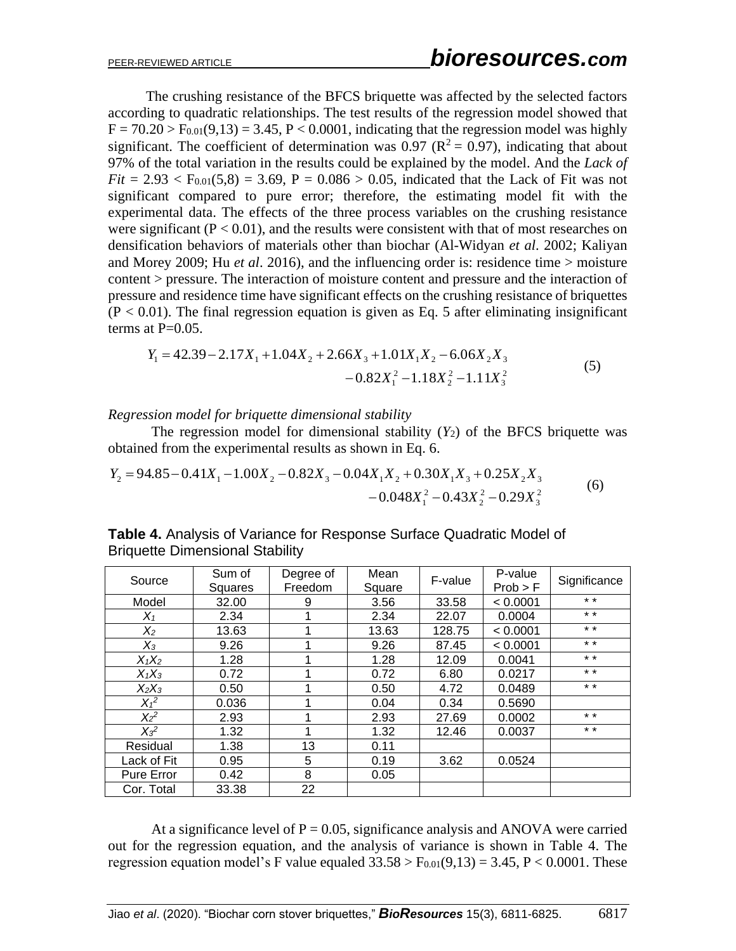The crushing resistance of the BFCS briquette was affected by the selected factors according to quadratic relationships. The test results of the regression model showed that  $F = 70.20 > F<sub>0.01</sub>(9,13) = 3.45, P < 0.0001$ , indicating that the regression model was highly significant. The coefficient of determination was 0.97 ( $\mathbb{R}^2 = 0.97$ ), indicating that about 97% of the total variation in the results could be explained by the model. And the *Lack of*   $Fit = 2.93 < F_{0.01}(5.8) = 3.69$ ,  $P = 0.086 > 0.05$ , indicated that the Lack of Fit was not significant compared to pure error; therefore, the estimating model fit with the experimental data. The effects of the three process variables on the crushing resistance were significant  $(P < 0.01)$ , and the results were consistent with that of most researches on densification behaviors of materials other than biochar (Al-Widyan *et al*. 2002; Kaliyan and Morey 2009; Hu *et al*. 2016), and the influencing order is: residence time > moisture content > pressure. The interaction of moisture content and pressure and the interaction of pressure and residence time have significant effects on the crushing resistance of briquettes  $(P < 0.01)$ . The final regression equation is given as Eq. 5 after eliminating insignificant terms at  $P=0.05$ .

$$
Y_1 = 42.39 - 2.17X_1 + 1.04X_2 + 2.66X_3 + 1.01X_1X_2 - 6.06X_2X_3 -0.82X_1^2 -1.18X_2^2 -1.11X_3^2
$$
\n(5)

*Regression model for briquette dimensional stability* 

The regression model for dimensional stability  $(Y_2)$  of the BFCS briquette was obtained from the experimental results as shown in Eq. 6.

$$
Y_2 = 94.85 - 0.41X_1 - 1.00X_2 - 0.82X_3 - 0.04X_1X_2 + 0.30X_1X_3 + 0.25X_2X_3 -0.048X_1^2 - 0.43X_2^2 - 0.29X_3^2
$$
 (6)

| Source            | Sum of<br>Squares | Degree of<br>Freedom | Mean<br>Square | F-value | P-value<br>Prob > F | Significance |
|-------------------|-------------------|----------------------|----------------|---------|---------------------|--------------|
| Model             | 32.00             | 9                    | 3.56           | 33.58   | < 0.0001            | $* *$        |
| $X_1$             | 2.34              |                      | 2.34           | 22.07   | 0.0004              | $* *$        |
| $X_2$             | 13.63             |                      | 13.63          | 128.75  | < 0.0001            | $* *$        |
| $X_3$             | 9.26              |                      | 9.26           | 87.45   | < 0.0001            | $* *$        |
| $X_1X_2$          | 1.28              |                      | 1.28           | 12.09   | 0.0041              | $* *$        |
| $X_1X_3$          | 0.72              |                      | 0.72           | 6.80    | 0.0217              | $* *$        |
| $X_2X_3$          | 0.50              |                      | 0.50           | 4.72    | 0.0489              | $* *$        |
| $X_1^2$           | 0.036             |                      | 0.04           | 0.34    | 0.5690              |              |
| $X_2^2$           | 2.93              |                      | 2.93           | 27.69   | 0.0002              | $* *$        |
| $X_3^2$           | 1.32              |                      | 1.32           | 12.46   | 0.0037              | $* *$        |
| Residual          | 1.38              | 13                   | 0.11           |         |                     |              |
| Lack of Fit       | 0.95              | 5                    | 0.19           | 3.62    | 0.0524              |              |
| <b>Pure Error</b> | 0.42              | 8                    | 0.05           |         |                     |              |
| Cor. Total        | 33.38             | 22                   |                |         |                     |              |

**Table 4.** Analysis of Variance for Response Surface Quadratic Model of Briquette Dimensional Stability

At a significance level of  $P = 0.05$ , significance analysis and ANOVA were carried out for the regression equation, and the analysis of variance is shown in Table 4. The regression equation model's F value equaled  $33.58 > F_{0.01}(9.13) = 3.45$ , P < 0.0001. These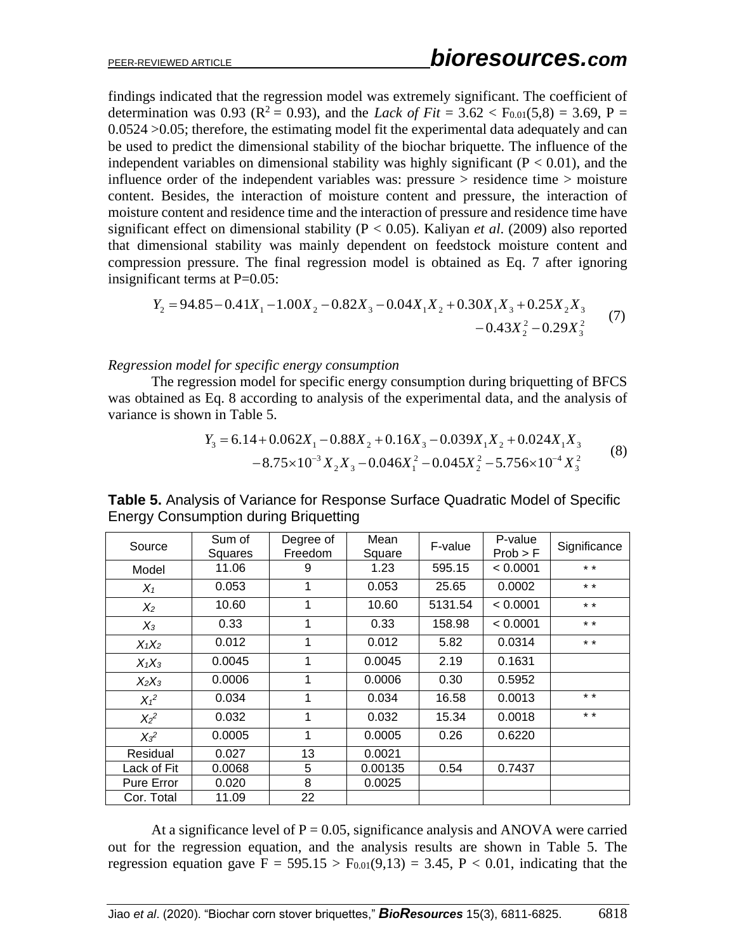findings indicated that the regression model was extremely significant. The coefficient of determination was 0.93 ( $\mathbb{R}^2 = 0.93$ ), and the *Lack of Fit* = 3.62 < F<sub>0.01</sub>(5,8) = 3.69, P = 0.0524 >0.05; therefore, the estimating model fit the experimental data adequately and can be used to predict the dimensional stability of the biochar briquette. The influence of the independent variables on dimensional stability was highly significant ( $P < 0.01$ ), and the influence order of the independent variables was: pressure > residence time > moisture content. Besides, the interaction of moisture content and pressure, the interaction of moisture content and residence time and the interaction of pressure and residence time have significant effect on dimensional stability (P < 0.05). Kaliyan *et al*. (2009) also reported that dimensional stability was mainly dependent on feedstock moisture content and compression pressure. The final regression model is obtained as Eq. 7 after ignoring insignificant terms at  $P=0.05$ :

$$
Y_2 = 94.85 - 0.41X_1 - 1.00X_2 - 0.82X_3 - 0.04X_1X_2 + 0.30X_1X_3 + 0.25X_2X_3 -0.43X_2^2 - 0.29X_3^2
$$
 (7)

#### *Regression model for specific energy consumption*

The regression model for specific energy consumption during briquetting of BFCS was obtained as Eq. 8 according to analysis of the experimental data, and the analysis of variance is shown in Table 5.

$$
Y_3 = 6.14 + 0.062X_1 - 0.88X_2 + 0.16X_3 - 0.039X_1X_2 + 0.024X_1X_3
$$
  

$$
-8.75 \times 10^{-3} X_2X_3 - 0.046X_1^2 - 0.045X_2^2 - 5.756 \times 10^{-4} X_3^2
$$
 (8)

|             | Sum of  | Degree of   | Mean    |         | P-value  |              |
|-------------|---------|-------------|---------|---------|----------|--------------|
| Source      | Squares | Freedom     | Square  | F-value | Prob > F | Significance |
| Model       | 11.06   | 9           | 1.23    | 595.15  | < 0.0001 | $* *$        |
| $X_1$       | 0.053   | 1           | 0.053   | 25.65   | 0.0002   | $* *$        |
| $X_2$       | 10.60   | $\mathbf 1$ | 10.60   | 5131.54 | < 0.0001 | $* *$        |
| $X_3$       | 0.33    | 1           | 0.33    | 158.98  | < 0.0001 | $* *$        |
| $X_1X_2$    | 0.012   | 1           | 0.012   | 5.82    | 0.0314   | $* *$        |
| $X_1X_3$    | 0.0045  |             | 0.0045  | 2.19    | 0.1631   |              |
| $X_2X_3$    | 0.0006  | 1           | 0.0006  | 0.30    | 0.5952   |              |
| $X_1^2$     | 0.034   | 1           | 0.034   | 16.58   | 0.0013   | $* *$        |
| $X_2^2$     | 0.032   | 1           | 0.032   | 15.34   | 0.0018   | $* *$        |
| $X_3^2$     | 0.0005  | 1           | 0.0005  | 0.26    | 0.6220   |              |
| Residual    | 0.027   | 13          | 0.0021  |         |          |              |
| Lack of Fit | 0.0068  | 5           | 0.00135 | 0.54    | 0.7437   |              |
| Pure Error  | 0.020   | 8           | 0.0025  |         |          |              |
| Cor. Total  | 11.09   | 22          |         |         |          |              |

**Table 5.** Analysis of Variance for Response Surface Quadratic Model of Specific Energy Consumption during Briquetting

At a significance level of  $P = 0.05$ , significance analysis and ANOVA were carried out for the regression equation, and the analysis results are shown in Table 5. The regression equation gave  $F = 595.15 > F_{0.01}(9,13) = 3.45$ ,  $P < 0.01$ , indicating that the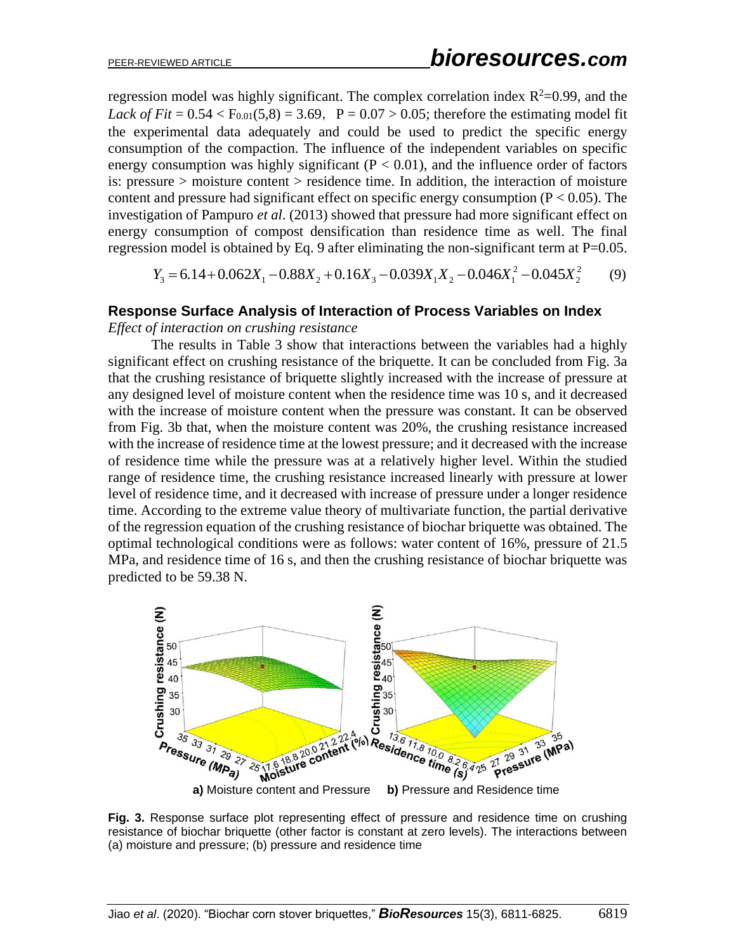regression model was highly significant. The complex correlation index  $R^2$ =0.99, and the *Lack of Fit* =  $0.54 < F_{0.01}(5,8) = 3.69$ , P =  $0.07 > 0.05$ ; therefore the estimating model fit the experimental data adequately and could be used to predict the specific energy consumption of the compaction. The influence of the independent variables on specific energy consumption was highly significant ( $P < 0.01$ ), and the influence order of factors is: pressure > moisture content > residence time. In addition, the interaction of moisture content and pressure had significant effect on specific energy consumption ( $P < 0.05$ ). The investigation of Pampuro *et al*. (2013) showed that pressure had more significant effect on energy consumption of compost densification than residence time as well. The final regression model is obtained by Eq. 9 after eliminating the non-significant term at  $P=0.05$ .

$$
Y_3 = 6.14 + 0.062X_1 - 0.88X_2 + 0.16X_3 - 0.039X_1X_2 - 0.046X_1^2 - 0.045X_2^2 \tag{9}
$$

## **Response Surface Analysis of Interaction of Process Variables on Index**

*Effect of interaction on crushing resistance* 

The results in Table 3 show that interactions between the variables had a highly significant effect on crushing resistance of the briquette. It can be concluded from Fig. 3a that the crushing resistance of briquette slightly increased with the increase of pressure at any designed level of moisture content when the residence time was 10 s, and it decreased with the increase of moisture content when the pressure was constant. It can be observed from Fig. 3b that, when the moisture content was 20%, the crushing resistance increased with the increase of residence time at the lowest pressure; and it decreased with the increase of residence time while the pressure was at a relatively higher level. Within the studied range of residence time, the crushing resistance increased linearly with pressure at lower level of residence time, and it decreased with increase of pressure under a longer residence time. According to the extreme value theory of multivariate function, the partial derivative of the regression equation of the crushing resistance of biochar briquette was obtained. The optimal technological conditions were as follows: water content of 16%, pressure of 21.5 MPa, and residence time of 16 s, and then the crushing resistance of biochar briquette was predicted to be 59.38 N.



**Fig. 3.** Response surface plot representing effect of pressure and residence time on crushing resistance of biochar briquette (other factor is constant at zero levels). The interactions between (a) moisture and pressure; (b) pressure and residence time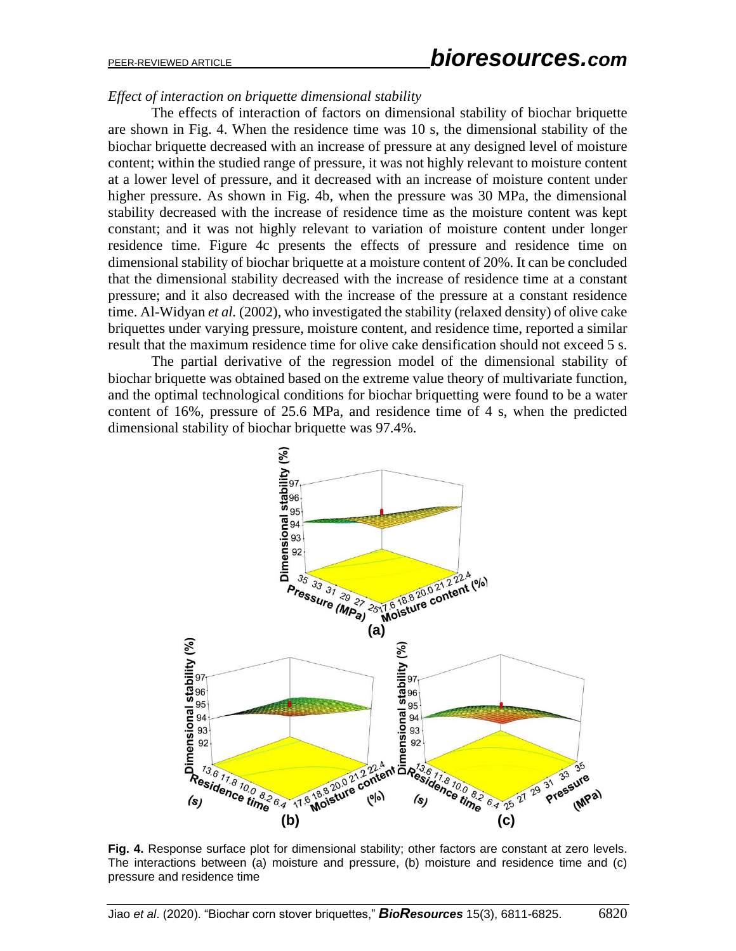# PEER-REVIEWED ARTICLE *bioresources.com*

## *Effect of interaction on briquette dimensional stability*

The effects of interaction of factors on dimensional stability of biochar briquette are shown in Fig. 4. When the residence time was 10 s, the dimensional stability of the biochar briquette decreased with an increase of pressure at any designed level of moisture content; within the studied range of pressure, it was not highly relevant to moisture content at a lower level of pressure, and it decreased with an increase of moisture content under higher pressure. As shown in Fig. 4b, when the pressure was 30 MPa, the dimensional stability decreased with the increase of residence time as the moisture content was kept constant; and it was not highly relevant to variation of moisture content under longer residence time. Figure 4c presents the effects of pressure and residence time on dimensional stability of biochar briquette at a moisture content of 20%. It can be concluded that the dimensional stability decreased with the increase of residence time at a constant pressure; and it also decreased with the increase of the pressure at a constant residence time. Al-Widyan *et al.* (2002), who investigated the stability (relaxed density) of olive cake briquettes under varying pressure, moisture content, and residence time, reported a similar result that the maximum residence time for olive cake densification should not exceed 5 s.

The partial derivative of the regression model of the dimensional stability of biochar briquette was obtained based on the extreme value theory of multivariate function, and the optimal technological conditions for biochar briquetting were found to be a water content of 16%, pressure of 25.6 MPa, and residence time of 4 s, when the predicted dimensional stability of biochar briquette was 97.4%.



**Fig. 4.** Response surface plot for dimensional stability; other factors are constant at zero levels. The interactions between (a) moisture and pressure, (b) moisture and residence time and (c) pressure and residence time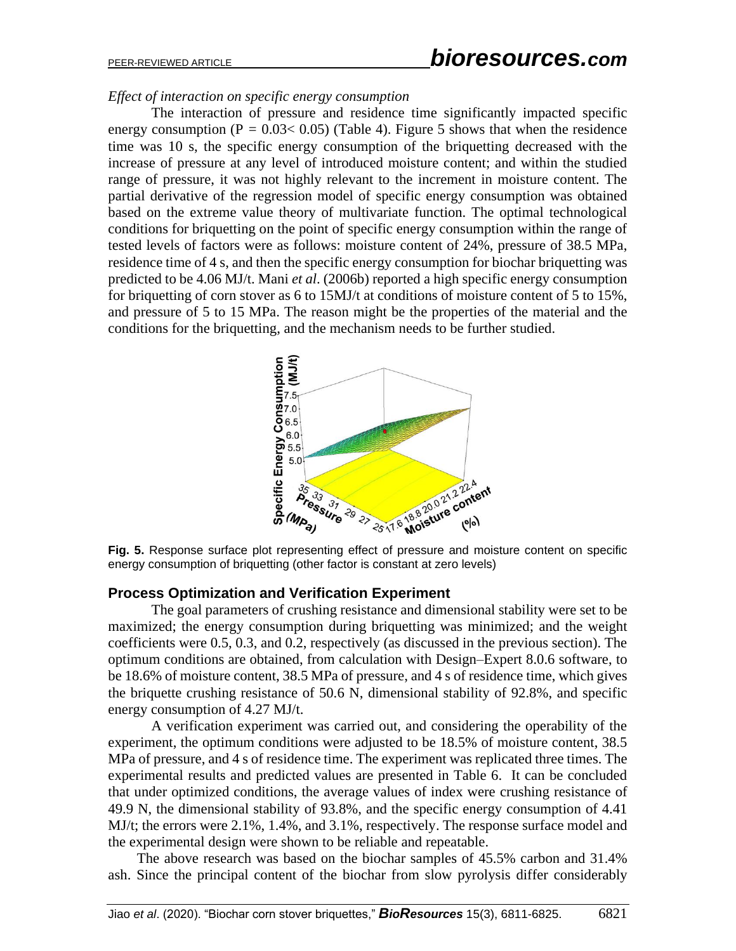# PEER-REVIEWED ARTICLE *bioresources.com*

#### *Effect of interaction on specific energy consumption*

The interaction of pressure and residence time significantly impacted specific energy consumption ( $P = 0.03 < 0.05$ ) (Table 4). Figure 5 shows that when the residence time was 10 s, the specific energy consumption of the briquetting decreased with the increase of pressure at any level of introduced moisture content; and within the studied range of pressure, it was not highly relevant to the increment in moisture content. The partial derivative of the regression model of specific energy consumption was obtained based on the extreme value theory of multivariate function. The optimal technological conditions for briquetting on the point of specific energy consumption within the range of tested levels of factors were as follows: moisture content of 24%, pressure of 38.5 MPa, residence time of 4 s, and then the specific energy consumption for biochar briquetting was predicted to be 4.06 MJ/t. Mani *et al*. (2006b) reported a high specific energy consumption for briquetting of corn stover as 6 to 15MJ/t at conditions of moisture content of 5 to 15%, and pressure of 5 to 15 MPa. The reason might be the properties of the material and the conditions for the briquetting, and the mechanism needs to be further studied.



energy consumption of briquetting (other factor is constant at zero levels)

## **Process Optimization and Verification Experiment**

The goal parameters of crushing resistance and dimensional stability were set to be maximized; the energy consumption during briquetting was minimized; and the weight coefficients were 0.5, 0.3, and 0.2, respectively (as discussed in the previous section). The optimum conditions are obtained, from calculation with Design–Expert 8.0.6 software, to be 18.6% of moisture content, 38.5 MPa of pressure, and 4 s of residence time, which gives the briquette crushing resistance of 50.6 N, dimensional stability of 92.8%, and specific energy consumption of 4.27 MJ/t.

 A verification experiment was carried out, and considering the operability of the experiment, the optimum conditions were adjusted to be 18.5% of moisture content, 38.5 MPa of pressure, and 4 s of residence time. The experiment was replicated three times. The experimental results and predicted values are presented in Table 6. It can be concluded that under optimized conditions, the average values of index were crushing resistance of 49.9 N, the dimensional stability of 93.8%, and the specific energy consumption of 4.41 MJ/t; the errors were 2.1%, 1.4%, and 3.1%, respectively. The response surface model and the experimental design were shown to be reliable and repeatable.

The above research was based on the biochar samples of 45.5% carbon and 31.4% ash. Since the principal content of the biochar from slow pyrolysis differ considerably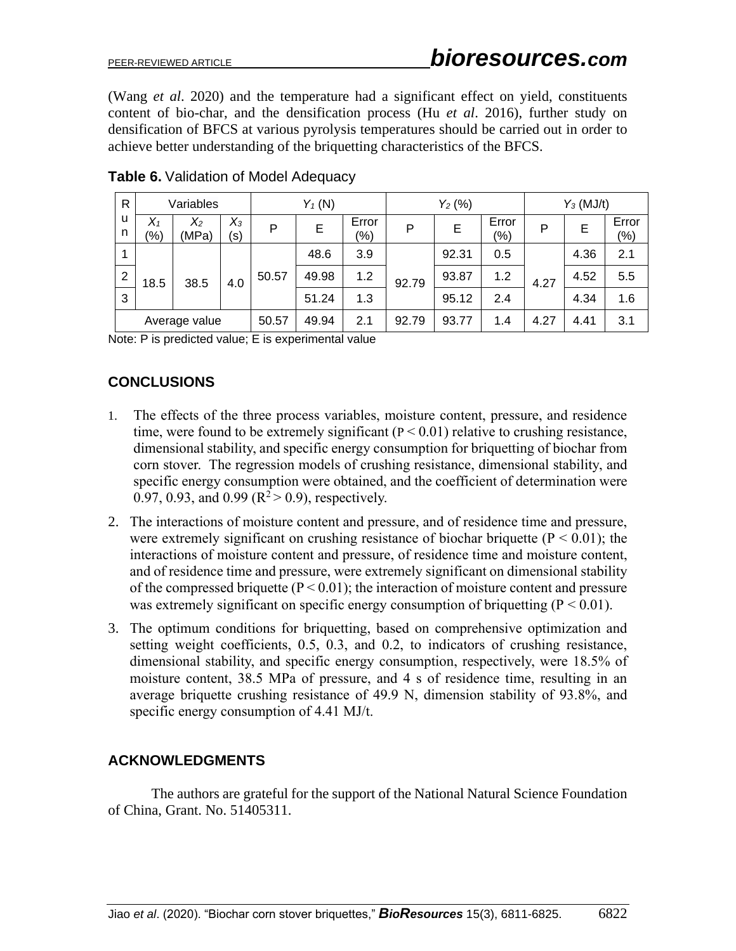(Wang *et al*. 2020) and the temperature had a significant effect on yield, constituents content of bio-char, and the densification process (Hu *et al*. 2016), further study on densification of BFCS at various pyrolysis temperatures should be carried out in order to achieve better understanding of the briquetting characteristics of the BFCS.

| $\mathsf{R}$   | Variables        |                |              |       | $Y_1(N)$ |                  | $Y_2(%)$ |       |                        | $Y_3$ (MJ/t) |      |                  |
|----------------|------------------|----------------|--------------|-------|----------|------------------|----------|-------|------------------------|--------------|------|------------------|
| u<br>n         | $X_1$<br>$(\% )$ | $X_2$<br>(MPa) | $X_3$<br>(s) | P     | E        | Error<br>$(\% )$ | P        | Е     | Error<br>$\frac{1}{2}$ | P            | Ε    | Error<br>$(\% )$ |
| 4              |                  |                |              |       | 48.6     | 3.9              |          | 92.31 | 0.5                    |              | 4.36 | 2.1              |
| $\overline{2}$ | 18.5             | 38.5           | 4.0          | 50.57 | 49.98    | 1.2              | 92.79    | 93.87 | 1.2                    | 4.27         | 4.52 | 5.5              |
| 3              |                  |                |              |       | 51.24    | 1.3              |          | 95.12 | 2.4                    |              | 4.34 | 1.6              |
|                |                  | Average value  |              | 50.57 | 49.94    | 2.1              | 92.79    | 93.77 | 1.4                    | 4.27         | 4.41 | 3.1              |

## **Table 6.** Validation of Model Adequacy

Note: P is [predicted value;](http://dict.youdao.com/w/predicted%20value/#keyfrom=E2Ctranslation) E is [experimental value](http://dict.youdao.com/w/experimental%20value/#keyfrom=E2Ctranslation)

# **CONCLUSIONS**

- 1. The effects of the three process variables, moisture content, pressure, and residence time, were found to be extremely significant  $(P < 0.01)$  relative to crushing resistance, dimensional stability, and specific energy consumption for briquetting of biochar from corn stover. The regression models of crushing resistance, dimensional stability, and specific energy consumption were obtained, and the coefficient of determination were 0.97, 0.93, and 0.99 ( $R^2 > 0.9$ ), respectively.
- 2. The interactions of moisture content and pressure, and of residence time and pressure, were extremely significant on crushing resistance of biochar briquette ( $P < 0.01$ ); the interactions of moisture content and pressure, of residence time and moisture content, and of residence time and pressure, were extremely significant on dimensional stability of the compressed briquette ( $P < 0.01$ ); the interaction of moisture content and pressure was extremely significant on specific energy consumption of briquetting  $(P < 0.01)$ .
- 3. The optimum conditions for briquetting, based on comprehensive optimization and setting weight coefficients, 0.5, 0.3, and 0.2, to indicators of crushing resistance, dimensional stability, and specific energy consumption, respectively, were 18.5% of moisture content, 38.5 MPa of pressure, and 4 s of residence time, resulting in an average briquette crushing resistance of 49.9 N, dimension stability of 93.8%, and specific energy consumption of 4.41 MJ/t.

## **ACKNOWLEDGMENTS**

The authors are grateful for the support of the National Natural Science Foundation of China, Grant. No. 51405311.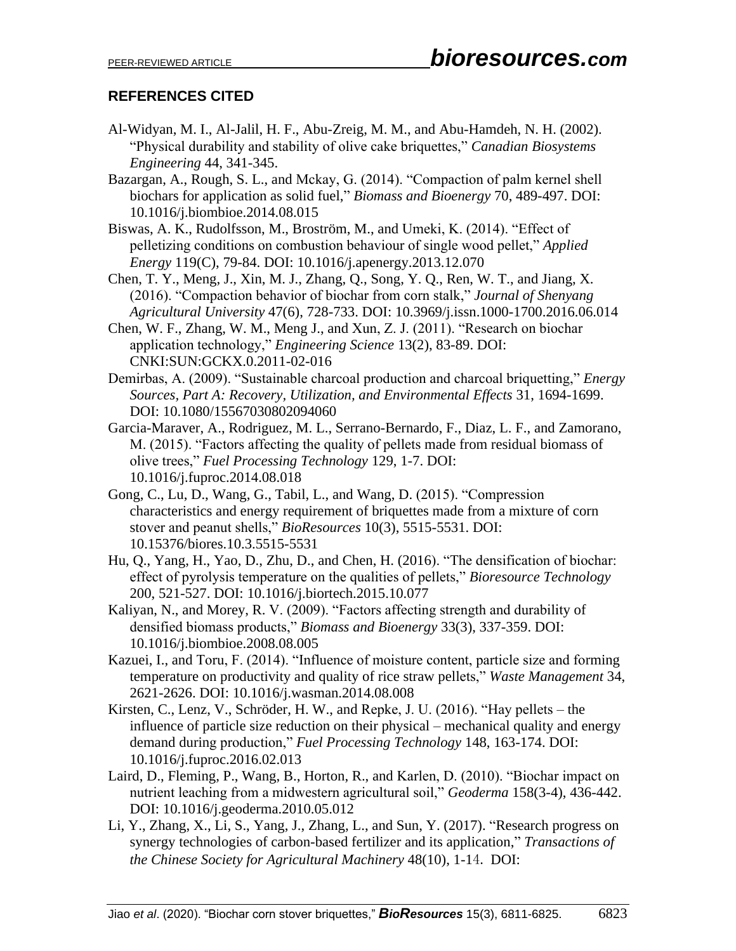# **REFERENCES CITED**

- Al-Widyan, M. I., Al-Jalil, H. F., Abu-Zreig, M. M., and Abu-Hamdeh, N. H. (2002). "Physical durability and stability of olive cake briquettes," *Canadian Biosystems Engineering* 44, 341-345.
- Bazargan, A., Rough, S. L., and Mckay, G. (2014). "Compaction of palm kernel shell biochars for application as solid fuel," *Biomass and Bioenergy* 70, 489-497. DOI: 10.1016/j.biombioe.2014.08.015
- Biswas, A. K., Rudolfsson, M., Broström, M., and Umeki, K. (2014). "Effect of pelletizing conditions on combustion behaviour of single wood pellet," *Applied Energy* 119(C), 79-84. DOI: 10.1016/j.apenergy.2013.12.070
- Chen, T. Y., Meng, J., Xin, M. J., Zhang, Q., Song, Y. Q., Ren, W. T., and Jiang, X. (2016). "Compaction behavior of biochar from corn stalk," *Journal of Shenyang Agricultural University* 47(6), 728-733. DOI: 10.3969/j.issn.1000-1700.2016.06.014
- Chen, W. F., Zhang, W. M., Meng J., and Xun, Z. J. (2011). "Research on biochar application technology," *Engineering Science* 13(2), 83-89. DOI: CNKI:SUN:GCKX.0.2011-02-016
- Demirbas, A. (2009). "Sustainable charcoal production and charcoal briquetting," *Energy Sources, Part A: Recovery, Utilization, and Environmental Effects* 31, 1694-1699. DOI: 10.1080/15567030802094060
- Garcia-Maraver, A., Rodriguez, M. L., Serrano-Bernardo, F., Diaz, L. F., and Zamorano, M. (2015). "Factors affecting the quality of pellets made from residual biomass of olive trees," *Fuel Processing Technology* 129, 1-7. DOI: [10.1016/j.fuproc.2014.08.018](https://doi.org/10.1016/j.fuproc.2014.08.018)
- Gong, C., Lu, D., Wang, G., Tabil, L., and Wang, D. (2015). "Compression characteristics and energy requirement of briquettes made from a mixture of corn stover and peanut shells," *BioResources* 10(3), 5515-5531. DOI: 10.15376/biores.10.3.5515-5531
- Hu, Q., Yang, H., Yao, D., Zhu, D., and Chen, H. (2016). "The densification of biochar: effect of pyrolysis temperature on the qualities of pellets," *Bioresource Technology* 200, 521-527. DOI: [10.1016/j.biortech.2015.10.077](https://doi.org/10.1016/j.biortech.2015.10.077)
- Kaliyan, N., and Morey, R. V. (2009). "Factors affecting strength and durability of densified biomass products," *Biomass and Bioenergy* 33(3), 337-359. DOI: 10.1016/j.biombioe.2008.08.005
- Kazuei, I., and Toru, F. (2014). "Influence of moisture content, particle size and forming temperature on productivity and quality of rice straw pellets," *Waste Management* 34, 2621-2626. DOI: 10.1016/j.wasman.2014.08.008
- Kirsten, C., Lenz, V., Schröder, H. W., and Repke, J. U. (2016). "Hay pellets the influence of particle size reduction on their physical – mechanical quality and energy demand during production," *Fuel Processing Technology* 148, 163-174. DOI: 10.1016/j.fuproc.2016.02.013
- Laird, D., Fleming, P., Wang, B., Horton, R., and Karlen, D. (2010). "Biochar impact on nutrient leaching from a midwestern agricultural soil," *Geoderma* 158(3-4), 436-442. DOI: 10.1016/j.geoderma.2010.05.012
- Li, Y., Zhang, X., Li, S., Yang, J., Zhang, L., and Sun, Y. (2017). "Research progress on synergy technologies of carbon-based fertilizer and its application," *Transactions of the Chinese Society for Agricultural Machinery* 48(10), 1-14. DOI: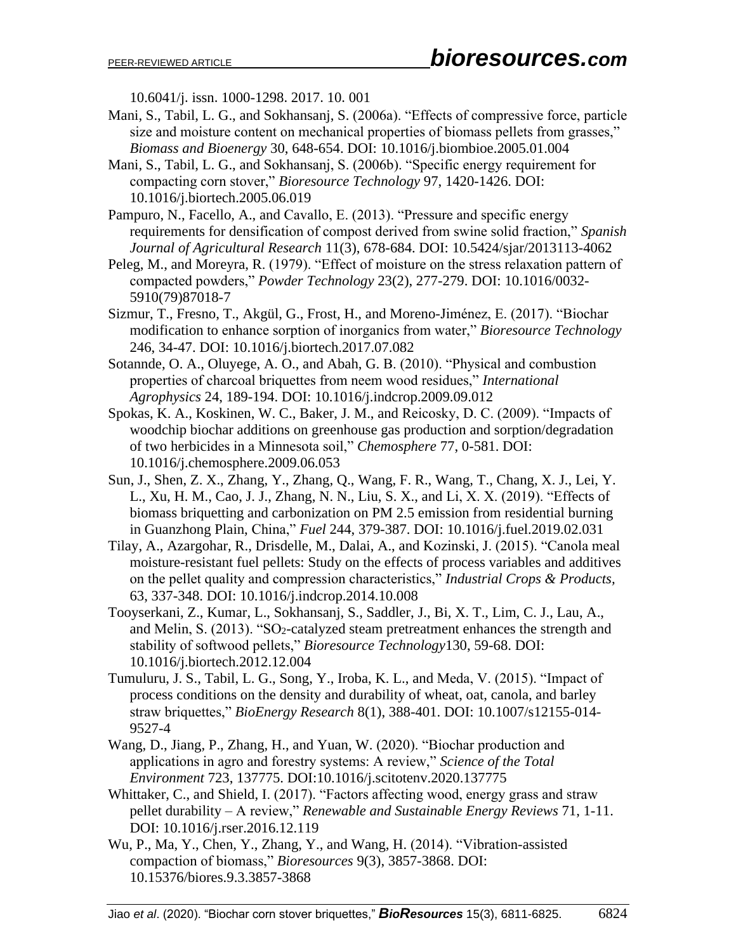10.6041/j.issn.1000-1298.2017.10.001

- Mani, S., Tabil, L. G., and Sokhansanj, S. (2006a). "Effects of compressive force, particle size and moisture content on mechanical properties of biomass pellets from grasses," *Biomass and Bioenergy* 30, 648-654. DOI: 10.1016/j.biombioe.2005.01.004
- Mani, S., Tabil, L. G., and Sokhansanj, S. (2006b). "Specific energy requirement for compacting corn stover," *Bioresource Technology* 97, 1420-1426. DOI: 10.1016/j.biortech.2005.06.019
- Pampuro, N., Facello, A., and Cavallo, E. (2013). "Pressure and specific energy requirements for densification of compost derived from swine solid fraction," *Spanish Journal of Agricultural Research* 11(3), 678-684. DOI: 10.5424/sjar/2013113-4062
- Peleg, M., and Moreyra, R. (1979). "Effect of moisture on the stress relaxation pattern of compacted powders," *Powder Technology* 23(2), 277-279. DOI: 10.1016/0032- 5910(79)87018-7
- Sizmur, T., Fresno, T., Akgül, G., Frost, H., and Moreno-Jiménez, E. (2017). "Biochar modification to enhance sorption of inorganics from water," *Bioresource Technology* 246, 34-47. DOI: 10.1016/j.biortech.2017.07.082
- Sotannde, O. A., Oluyege, A. O., and Abah, G. B. (2010). "Physical and combustion properties of charcoal briquettes from neem wood residues," *International Agrophysics* 24, 189-194. DOI: 10.1016/j.indcrop.2009.09.012
- Spokas, K. A., Koskinen, W. C., Baker, J. M., and Reicosky, D. C. (2009). "Impacts of woodchip biochar additions on greenhouse gas production and sorption/degradation of two herbicides in a Minnesota soil," *Chemosphere* 77, 0-581. DOI: 10.1016/j.chemosphere.2009.06.053
- Sun, J., Shen, Z. X., Zhang, Y., Zhang, Q., Wang, F. R., Wang, T., Chang, X. J., Lei, Y. L., Xu, H. M., Cao, J. J., Zhang, N. N., Liu, S. X., and Li, X. X. (2019). "Effects of biomass briquetting and carbonization on PM 2.5 emission from residential burning in Guanzhong Plain, China," *Fuel* 244, 379-387. DOI: 10.1016/j.fuel.2019.02.031
- Tilay, A., Azargohar, R., Drisdelle, M., Dalai, A., and Kozinski, J. (2015). "Canola meal moisture-resistant fuel pellets: Study on the effects of process variables and additives on the pellet quality and compression characteristics," *Industrial Crops & Products,* 63, 337-348. DOI: 10.1016/j.indcrop.2014.10.008
- Tooyserkani, Z., Kumar, L., Sokhansanj, S., Saddler, J., Bi, X. T., Lim, C. J., Lau, A., and Melin, S. (2013). "SO<sub>2</sub>-catalyzed steam pretreatment enhances the strength and stability of softwood pellets," *Bioresource Technology*130, 59-68. DOI: 10.1016/j.biortech.2012.12.004
- Tumuluru, J. S., Tabil, L. G., Song, Y., Iroba, K. L., and Meda, V. (2015). "Impact of process conditions on the density and durability of wheat, oat, canola, and barley straw briquettes," *BioEnergy Research* 8(1), 388-401. DOI: 10.1007/s12155-014- 9527-4
- Wang, D., Jiang, P., Zhang, H., and Yuan, W. (2020). "Biochar production and applications in agro and forestry systems: A review," *Science of the Total Environment* 723, 137775. DOI:10.1016/j.scitotenv.2020.137775
- Whittaker, C., and Shield, I. (2017). "Factors affecting wood, energy grass and straw pellet durability – A review," *Renewable and Sustainable Energy Reviews* 71, 1-11. DOI: 10.1016/j.rser.2016.12.119
- Wu, P., Ma, Y., Chen, Y., Zhang, Y., and Wang, H. (2014). "Vibration-assisted compaction of biomass," *Bioresources* 9(3), 3857-3868. DOI: 10.15376/biores.9.3.3857-3868

Jiao *et al*. (2020). "Biochar corn stover briquettes," *BioResources* 15(3), 6811-6825. 6824